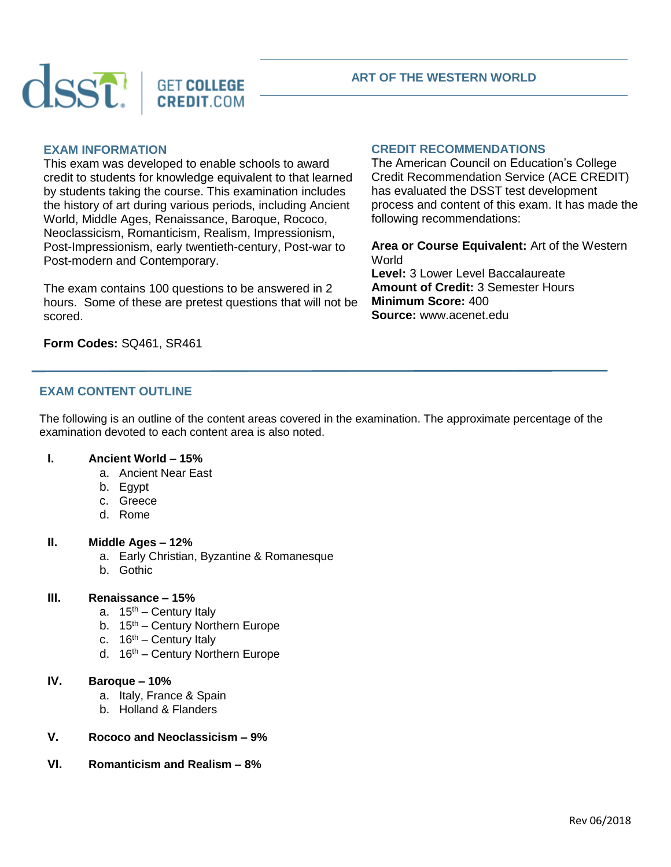

#### **ART OF THE WESTERN WORLD**

#### **EXAM INFORMATION**

This exam was developed to enable schools to award credit to students for knowledge equivalent to that learned by students taking the course. This examination includes the history of art during various periods, including Ancient World, Middle Ages, Renaissance, Baroque, Rococo, Neoclassicism, Romanticism, Realism, Impressionism, Post-Impressionism, early twentieth-century, Post-war to Post-modern and Contemporary.

The exam contains 100 questions to be answered in 2 hours. Some of these are pretest questions that will not be scored.

# **CREDIT RECOMMENDATIONS**

The American Council on Education's College Credit Recommendation Service (ACE CREDIT) has evaluated the DSST test development process and content of this exam. It has made the following recommendations:

**Area or Course Equivalent:** Art of the Western World **Level:** 3 Lower Level Baccalaureate **Amount of Credit:** 3 Semester Hours **Minimum Score:** 400 **Source:** www.acenet.edu

# **Form Codes:** SQ461, SR461

# **EXAM CONTENT OUTLINE**

The following is an outline of the content areas covered in the examination. The approximate percentage of the examination devoted to each content area is also noted.

#### **I. Ancient World – 15%**

- a. Ancient Near East
- b. Egypt
- c. Greece
- d. Rome

### **II. Middle Ages – 12%**

- a. Early Christian, Byzantine & Romanesque
- b. Gothic

#### **III. Renaissance – 15%**

- a.  $15<sup>th</sup>$  Century Italy
- b.  $15<sup>th</sup>$  Century Northern Europe
- c.  $16<sup>th</sup>$  Century Italy
- d. 16<sup>th</sup> Century Northern Europe

## **IV. Baroque – 10%**

- a. Italy, France & Spain
- b. Holland & Flanders

### **V. Rococo and Neoclassicism – 9%**

**VI. Romanticism and Realism – 8%**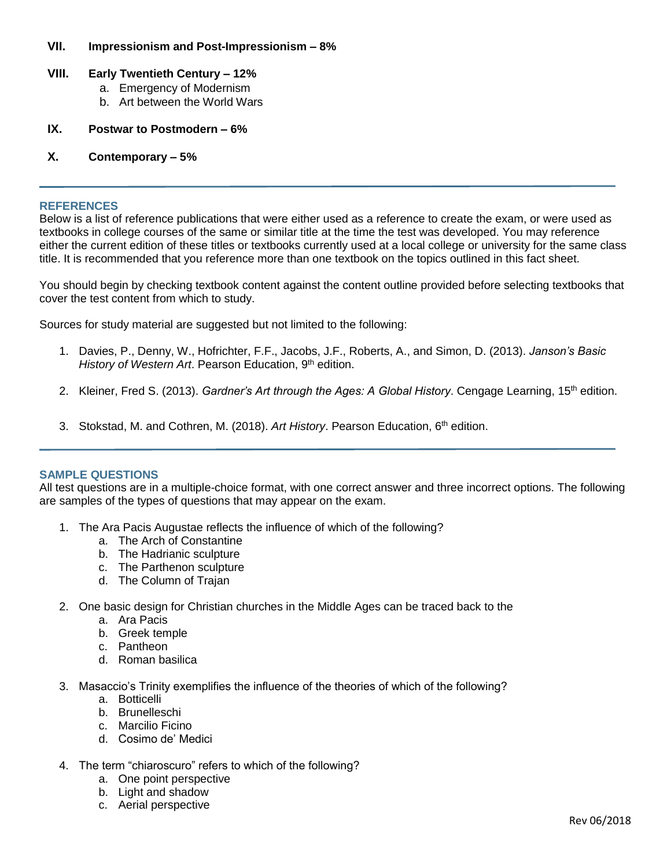### **VII. Impressionism and Post-Impressionism – 8%**

# **VIII. Early Twentieth Century – 12%**

- a. Emergency of Modernism
- b. Art between the World Wars
- **IX. Postwar to Postmodern – 6%**

# **X. Contemporary – 5%**

#### **REFERENCES**

Below is a list of reference publications that were either used as a reference to create the exam, or were used as textbooks in college courses of the same or similar title at the time the test was developed. You may reference either the current edition of these titles or textbooks currently used at a local college or university for the same class title. It is recommended that you reference more than one textbook on the topics outlined in this fact sheet.

You should begin by checking textbook content against the content outline provided before selecting textbooks that cover the test content from which to study.

Sources for study material are suggested but not limited to the following:

- 1. Davies, P., Denny, W., Hofrichter, F.F., Jacobs, J.F., Roberts, A., and Simon, D. (2013). *Janson's Basic*  History of Western Art. Pearson Education, 9<sup>th</sup> edition.
- 2. Kleiner, Fred S. (2013). *Gardner's Art through the Ages: A Global History*. Cengage Learning, 15<sup>th</sup> edition.
- 3. Stokstad, M. and Cothren, M. (2018). Art History. Pearson Education, 6<sup>th</sup> edition.

### **SAMPLE QUESTIONS**

All test questions are in a multiple-choice format, with one correct answer and three incorrect options. The following are samples of the types of questions that may appear on the exam.

- 1. The Ara Pacis Augustae reflects the influence of which of the following?
	- a. The Arch of Constantine
	- b. The Hadrianic sculpture
	- c. The Parthenon sculpture
	- d. The Column of Trajan
- 2. One basic design for Christian churches in the Middle Ages can be traced back to the
	- a. Ara Pacis
	- b. Greek temple
	- c. Pantheon
	- d. Roman basilica
- 3. Masaccio's Trinity exemplifies the influence of the theories of which of the following?
	- a. Botticelli
		- b. Brunelleschi
		- c. Marcilio Ficino
		- d. Cosimo de' Medici
- 4. The term "chiaroscuro" refers to which of the following?
	- a. One point perspective
	- b. Light and shadow
	- c. Aerial perspective